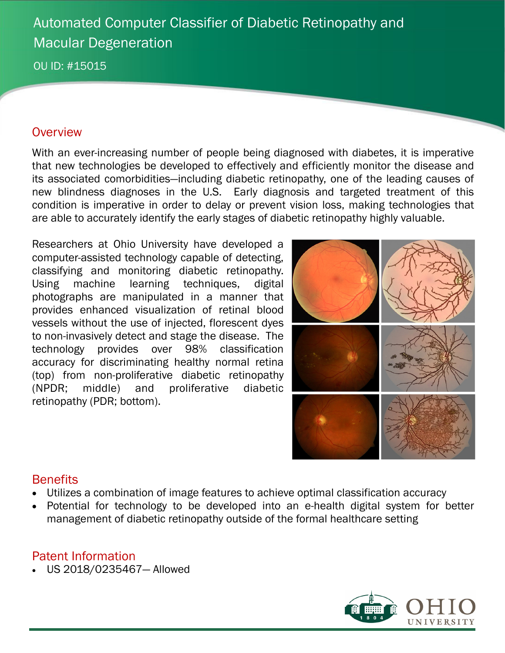# Automated Computer Classifier of Diabetic Retinopathy and Macular Degeneration

OU ID: #15015

#### **Overview**

With an ever-increasing number of people being diagnosed with diabetes, it is imperative that new technologies be developed to effectively and efficiently monitor the disease and its associated comorbidities—including diabetic retinopathy, one of the leading causes of new blindness diagnoses in the U.S. Early diagnosis and targeted treatment of this condition is imperative in order to delay or prevent vision loss, making technologies that are able to accurately identify the early stages of diabetic retinopathy highly valuable.

Researchers at Ohio University have developed a computer-assisted technology capable of detecting, classifying and monitoring diabetic retinopathy. Using machine learning techniques, digital photographs are manipulated in a manner that provides enhanced visualization of retinal blood vessels without the use of injected, florescent dyes to non-invasively detect and stage the disease. The technology provides over 98% classification accuracy for discriminating healthy normal retina (top) from non-proliferative diabetic retinopathy (NPDR; middle) and proliferative diabetic retinopathy (PDR; bottom).



### **Benefits**

- Utilizes a combination of image features to achieve optimal classification accuracy
- Potential for technology to be developed into an e-health digital system for better management of diabetic retinopathy outside of the formal healthcare setting

### Patent Information

US 2018/0235467— Allowed